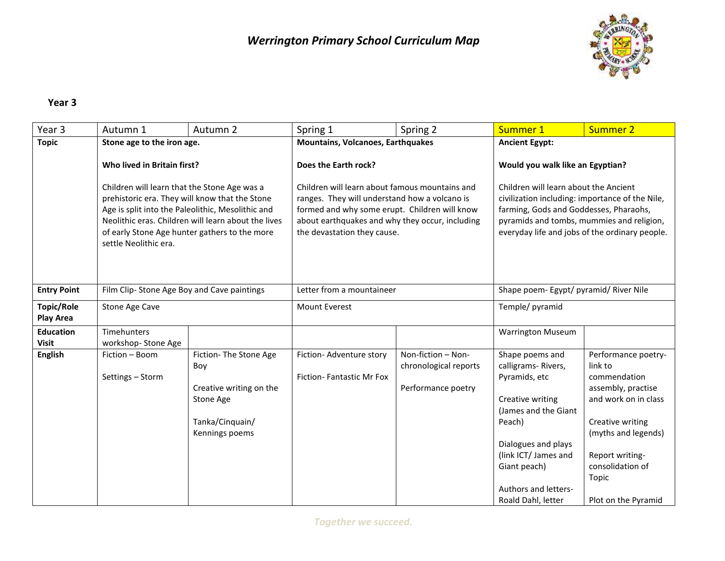

## **Year 3**

| Year 3                           | Autumn 1                                   | Autumn 2                                                                                                                                                                                                                                                                                                                                                                                                                                                                                          | Spring 1                                             | Spring 2                                                                                                                                                                                                                          | Summer 1                                               | Summer 2                                       |
|----------------------------------|--------------------------------------------|---------------------------------------------------------------------------------------------------------------------------------------------------------------------------------------------------------------------------------------------------------------------------------------------------------------------------------------------------------------------------------------------------------------------------------------------------------------------------------------------------|------------------------------------------------------|-----------------------------------------------------------------------------------------------------------------------------------------------------------------------------------------------------------------------------------|--------------------------------------------------------|------------------------------------------------|
| <b>Topic</b>                     | Stone age to the iron age.                 |                                                                                                                                                                                                                                                                                                                                                                                                                                                                                                   | Mountains, Volcanoes, Earthquakes                    |                                                                                                                                                                                                                                   | <b>Ancient Egypt:</b>                                  |                                                |
|                                  | Who lived in Britain first?                |                                                                                                                                                                                                                                                                                                                                                                                                                                                                                                   | Does the Earth rock?                                 |                                                                                                                                                                                                                                   | Would you walk like an Egyptian?                       |                                                |
|                                  | settle Neolithic era.                      | Children will learn about famous mountains and<br>Children will learn that the Stone Age was a<br>prehistoric era. They will know that the Stone<br>ranges. They will understand how a volcano is<br>Age is split into the Paleolithic, Mesolithic and<br>formed and why some erupt. Children will know<br>Neolithic eras. Children will learn about the lives<br>about earthquakes and why they occur, including<br>of early Stone Age hunter gathers to the more<br>the devastation they cause. |                                                      | Children will learn about the Ancient<br>civilization including: importance of the Nile,<br>farming, Gods and Goddesses, Pharaohs,<br>pyramids and tombs, mummies and religion,<br>everyday life and jobs of the ordinary people. |                                                        |                                                |
| <b>Entry Point</b>               | Film Clip-Stone Age Boy and Cave paintings |                                                                                                                                                                                                                                                                                                                                                                                                                                                                                                   | Letter from a mountaineer                            |                                                                                                                                                                                                                                   | Shape poem- Egypt/ pyramid/ River Nile                 |                                                |
| Topic/Role<br><b>Play Area</b>   | Stone Age Cave                             |                                                                                                                                                                                                                                                                                                                                                                                                                                                                                                   | <b>Mount Everest</b>                                 |                                                                                                                                                                                                                                   | Temple/ pyramid                                        |                                                |
| <b>Education</b><br><b>Visit</b> | Timehunters<br>workshop-Stone Age          |                                                                                                                                                                                                                                                                                                                                                                                                                                                                                                   |                                                      |                                                                                                                                                                                                                                   | <b>Warrington Museum</b>                               |                                                |
| <b>English</b>                   | Fiction - Boom<br>Settings - Storm         | Fiction-The Stone Age<br>Boy                                                                                                                                                                                                                                                                                                                                                                                                                                                                      | Fiction- Adventure story<br>Fiction-Fantastic Mr Fox | Non-fiction - Non-<br>chronological reports                                                                                                                                                                                       | Shape poems and<br>calligrams-Rivers,<br>Pyramids, etc | Performance poetry-<br>link to<br>commendation |
|                                  |                                            | Creative writing on the<br>Stone Age                                                                                                                                                                                                                                                                                                                                                                                                                                                              |                                                      | Performance poetry                                                                                                                                                                                                                | Creative writing<br>(James and the Giant               | assembly, practise<br>and work on in class     |
|                                  |                                            | Tanka/Cinquain/<br>Kennings poems                                                                                                                                                                                                                                                                                                                                                                                                                                                                 |                                                      |                                                                                                                                                                                                                                   | Peach)<br>Dialogues and plays                          | Creative writing<br>(myths and legends)        |
|                                  |                                            |                                                                                                                                                                                                                                                                                                                                                                                                                                                                                                   |                                                      |                                                                                                                                                                                                                                   | (link ICT/ James and                                   | Report writing-                                |
|                                  |                                            |                                                                                                                                                                                                                                                                                                                                                                                                                                                                                                   |                                                      |                                                                                                                                                                                                                                   | Giant peach)                                           | consolidation of<br>Topic                      |
|                                  |                                            |                                                                                                                                                                                                                                                                                                                                                                                                                                                                                                   |                                                      |                                                                                                                                                                                                                                   | <b>Authors and letters-</b>                            |                                                |
|                                  |                                            |                                                                                                                                                                                                                                                                                                                                                                                                                                                                                                   |                                                      |                                                                                                                                                                                                                                   | Roald Dahl, letter                                     | Plot on the Pyramid                            |

*Together we succeed.*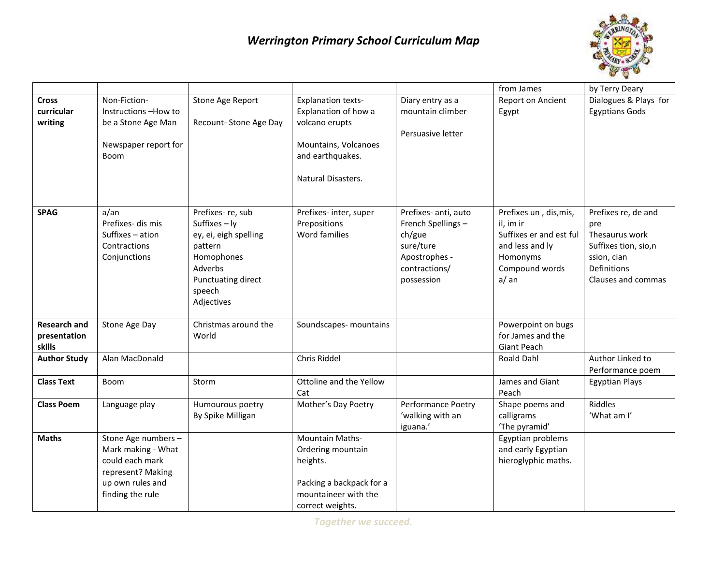## *Werrington Primary School Curriculum Map*



|                                               |                                                                                                                           |                                                                                                                                              |                                                                                                                                       |                                                                                                                  | from James                                                                                                              | by Terry Deary                                                                                                           |
|-----------------------------------------------|---------------------------------------------------------------------------------------------------------------------------|----------------------------------------------------------------------------------------------------------------------------------------------|---------------------------------------------------------------------------------------------------------------------------------------|------------------------------------------------------------------------------------------------------------------|-------------------------------------------------------------------------------------------------------------------------|--------------------------------------------------------------------------------------------------------------------------|
| <b>Cross</b><br>curricular<br>writing         | Non-Fiction-<br>Instructions-How to<br>be a Stone Age Man<br>Newspaper report for<br>Boom                                 | Stone Age Report<br>Recount- Stone Age Day                                                                                                   | <b>Explanation texts-</b><br>Explanation of how a<br>volcano erupts<br>Mountains, Volcanoes<br>and earthquakes.<br>Natural Disasters. | Diary entry as a<br>mountain climber<br>Persuasive letter                                                        | Report on Ancient<br>Egypt                                                                                              | Dialogues & Plays for<br><b>Egyptians Gods</b>                                                                           |
| <b>SPAG</b>                                   | $a/\text{an}$<br>Prefixes- dis mis<br>Suffixes - ation<br>Contractions<br>Conjunctions                                    | Prefixes-re, sub<br>Suffixes - ly<br>ey, ei, eigh spelling<br>pattern<br>Homophones<br>Adverbs<br>Punctuating direct<br>speech<br>Adjectives | Prefixes- inter, super<br>Prepositions<br>Word families                                                                               | Prefixes- anti, auto<br>French Spellings-<br>ch/gue<br>sure/ture<br>Apostrophes -<br>contractions/<br>possession | Prefixes un, dis, mis,<br>il, im ir<br>Suffixes er and est ful<br>and less and ly<br>Homonyms<br>Compound words<br>a/an | Prefixes re, de and<br>pre<br>Thesaurus work<br>Suffixes tion, sio,n<br>ssion, cian<br>Definitions<br>Clauses and commas |
| <b>Research and</b><br>presentation<br>skills | Stone Age Day                                                                                                             | Christmas around the<br>World                                                                                                                | Soundscapes- mountains                                                                                                                |                                                                                                                  | Powerpoint on bugs<br>for James and the<br><b>Giant Peach</b>                                                           |                                                                                                                          |
| <b>Author Study</b>                           | Alan MacDonald                                                                                                            |                                                                                                                                              | Chris Riddel                                                                                                                          |                                                                                                                  | <b>Roald Dahl</b>                                                                                                       | Author Linked to<br>Performance poem                                                                                     |
| <b>Class Text</b>                             | Boom                                                                                                                      | Storm                                                                                                                                        | Ottoline and the Yellow<br>Cat                                                                                                        |                                                                                                                  | James and Giant<br>Peach                                                                                                | <b>Egyptian Plays</b>                                                                                                    |
| <b>Class Poem</b>                             | Language play                                                                                                             | Humourous poetry<br>By Spike Milligan                                                                                                        | Mother's Day Poetry                                                                                                                   | Performance Poetry<br>'walking with an<br>iguana.'                                                               | Shape poems and<br>calligrams<br>'The pyramid'                                                                          | Riddles<br>'What am I'                                                                                                   |
| <b>Maths</b>                                  | Stone Age numbers -<br>Mark making - What<br>could each mark<br>represent? Making<br>up own rules and<br>finding the rule |                                                                                                                                              | <b>Mountain Maths-</b><br>Ordering mountain<br>heights.<br>Packing a backpack for a<br>mountaineer with the<br>correct weights.       |                                                                                                                  | Egyptian problems<br>and early Egyptian<br>hieroglyphic maths.                                                          |                                                                                                                          |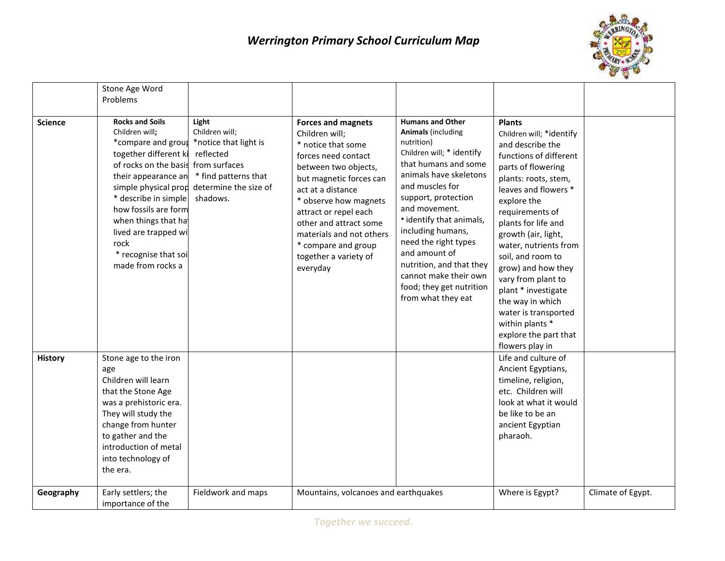

|                | Stone Age Word                                                                                                                                                                                                                                                                                                                     |                                                                                                                            |                                                                                                                                                                                                                                                                                                                                      |                                                                                                                                                                                                                                                                                                                                                                                                               |                                                                                                                                                                                                                                                                                                                                                                                                                                                                           |                   |
|----------------|------------------------------------------------------------------------------------------------------------------------------------------------------------------------------------------------------------------------------------------------------------------------------------------------------------------------------------|----------------------------------------------------------------------------------------------------------------------------|--------------------------------------------------------------------------------------------------------------------------------------------------------------------------------------------------------------------------------------------------------------------------------------------------------------------------------------|---------------------------------------------------------------------------------------------------------------------------------------------------------------------------------------------------------------------------------------------------------------------------------------------------------------------------------------------------------------------------------------------------------------|---------------------------------------------------------------------------------------------------------------------------------------------------------------------------------------------------------------------------------------------------------------------------------------------------------------------------------------------------------------------------------------------------------------------------------------------------------------------------|-------------------|
|                | Problems                                                                                                                                                                                                                                                                                                                           |                                                                                                                            |                                                                                                                                                                                                                                                                                                                                      |                                                                                                                                                                                                                                                                                                                                                                                                               |                                                                                                                                                                                                                                                                                                                                                                                                                                                                           |                   |
| <b>Science</b> | <b>Rocks and Soils</b><br>Children will;<br>*compare and group<br>together different ki<br>of rocks on the basis from surfaces<br>their appearance an<br>simple physical prop<br>* describe in simple<br>how fossils are form<br>when things that hat<br>lived are trapped wi<br>rock<br>* recognise that soi<br>made from rocks a | Light<br>Children will;<br>*notice that light is<br>reflected<br>* find patterns that<br>determine the size of<br>shadows. | <b>Forces and magnets</b><br>Children will;<br>* notice that some<br>forces need contact<br>between two objects,<br>but magnetic forces can<br>act at a distance<br>* observe how magnets<br>attract or repel each<br>other and attract some<br>materials and not others<br>* compare and group<br>together a variety of<br>everyday | <b>Humans and Other</b><br><b>Animals (including</b><br>nutrition)<br>Children will; * identify<br>that humans and some<br>animals have skeletons<br>and muscles for<br>support, protection<br>and movement.<br>* identify that animals,<br>including humans,<br>need the right types<br>and amount of<br>nutrition, and that they<br>cannot make their own<br>food; they get nutrition<br>from what they eat | <b>Plants</b><br>Children will; *identify<br>and describe the<br>functions of different<br>parts of flowering<br>plants: roots, stem,<br>leaves and flowers *<br>explore the<br>requirements of<br>plants for life and<br>growth (air, light,<br>water, nutrients from<br>soil, and room to<br>grow) and how they<br>vary from plant to<br>plant * investigate<br>the way in which<br>water is transported<br>within plants *<br>explore the part that<br>flowers play in |                   |
| History        | Stone age to the iron<br>age<br>Children will learn<br>that the Stone Age<br>was a prehistoric era.<br>They will study the<br>change from hunter<br>to gather and the<br>introduction of metal<br>into technology of<br>the era.                                                                                                   |                                                                                                                            |                                                                                                                                                                                                                                                                                                                                      |                                                                                                                                                                                                                                                                                                                                                                                                               | Life and culture of<br>Ancient Egyptians,<br>timeline, religion,<br>etc. Children will<br>look at what it would<br>be like to be an<br>ancient Egyptian<br>pharaoh.                                                                                                                                                                                                                                                                                                       |                   |
| Geography      | Early settlers; the<br>importance of the                                                                                                                                                                                                                                                                                           | Fieldwork and maps                                                                                                         | Mountains, volcanoes and earthquakes                                                                                                                                                                                                                                                                                                 |                                                                                                                                                                                                                                                                                                                                                                                                               | Where is Egypt?                                                                                                                                                                                                                                                                                                                                                                                                                                                           | Climate of Egypt. |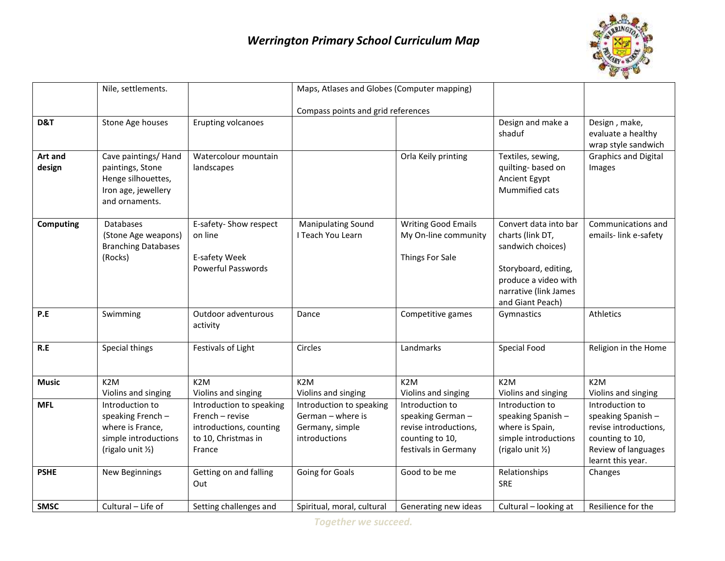## *Werrington Primary School Curriculum Map*



|                   | Nile, settlements.                                                                                      |                                                                                                         | Maps, Atlases and Globes (Computer mapping)                                       |                                                                                                         |                                                                                                                                                             |                                                                                                                               |
|-------------------|---------------------------------------------------------------------------------------------------------|---------------------------------------------------------------------------------------------------------|-----------------------------------------------------------------------------------|---------------------------------------------------------------------------------------------------------|-------------------------------------------------------------------------------------------------------------------------------------------------------------|-------------------------------------------------------------------------------------------------------------------------------|
|                   |                                                                                                         |                                                                                                         | Compass points and grid references                                                |                                                                                                         |                                                                                                                                                             |                                                                                                                               |
| D&T               | Stone Age houses                                                                                        | Erupting volcanoes                                                                                      |                                                                                   |                                                                                                         | Design and make a<br>shaduf                                                                                                                                 | Design, make,<br>evaluate a healthy<br>wrap style sandwich                                                                    |
| Art and<br>design | Cave paintings/ Hand<br>paintings, Stone<br>Henge silhouettes,<br>Iron age, jewellery<br>and ornaments. | Watercolour mountain<br>landscapes                                                                      |                                                                                   | Orla Keily printing                                                                                     | Textiles, sewing,<br>quilting-based on<br>Ancient Egypt<br>Mummified cats                                                                                   | <b>Graphics and Digital</b><br>Images                                                                                         |
| <b>Computing</b>  | Databases<br>(Stone Age weapons)<br><b>Branching Databases</b><br>(Rocks)                               | E-safety- Show respect<br>on line<br>E-safety Week<br><b>Powerful Passwords</b>                         | <b>Manipulating Sound</b><br>I Teach You Learn                                    | <b>Writing Good Emails</b><br>My On-line community<br>Things For Sale                                   | Convert data into bar<br>charts (link DT,<br>sandwich choices)<br>Storyboard, editing,<br>produce a video with<br>narrative (link James<br>and Giant Peach) | Communications and<br>emails-link e-safety                                                                                    |
| P.E               | Swimming                                                                                                | Outdoor adventurous<br>activity                                                                         | Dance                                                                             | Competitive games                                                                                       | Gymnastics                                                                                                                                                  | Athletics                                                                                                                     |
| R.E               | Special things                                                                                          | Festivals of Light                                                                                      | Circles                                                                           | Landmarks                                                                                               | Special Food                                                                                                                                                | Religion in the Home                                                                                                          |
| <b>Music</b>      | K <sub>2</sub> M<br>Violins and singing                                                                 | K <sub>2</sub> M<br>Violins and singing                                                                 | K <sub>2</sub> M<br>Violins and singing                                           | K <sub>2</sub> M<br>Violins and singing                                                                 | K <sub>2</sub> M<br>Violins and singing                                                                                                                     | K <sub>2</sub> M<br>Violins and singing                                                                                       |
| <b>MFL</b>        | Introduction to<br>speaking French -<br>where is France,<br>simple introductions<br>(rigalo unit 1/2)   | Introduction to speaking<br>French - revise<br>introductions, counting<br>to 10, Christmas in<br>France | Introduction to speaking<br>German - where is<br>Germany, simple<br>introductions | Introduction to<br>speaking German-<br>revise introductions,<br>counting to 10,<br>festivals in Germany | Introduction to<br>speaking Spanish -<br>where is Spain,<br>simple introductions<br>(rigalo unit 1/2)                                                       | Introduction to<br>speaking Spanish -<br>revise introductions,<br>counting to 10,<br>Review of languages<br>learnt this year. |
| <b>PSHE</b>       | <b>New Beginnings</b>                                                                                   | Getting on and falling<br>Out                                                                           | Going for Goals                                                                   | Good to be me                                                                                           | Relationships<br><b>SRE</b>                                                                                                                                 | Changes                                                                                                                       |
| <b>SMSC</b>       | Cultural - Life of                                                                                      | Setting challenges and                                                                                  | Spiritual, moral, cultural                                                        | Generating new ideas                                                                                    | Cultural - looking at                                                                                                                                       | Resilience for the                                                                                                            |

*Together we succeed.*